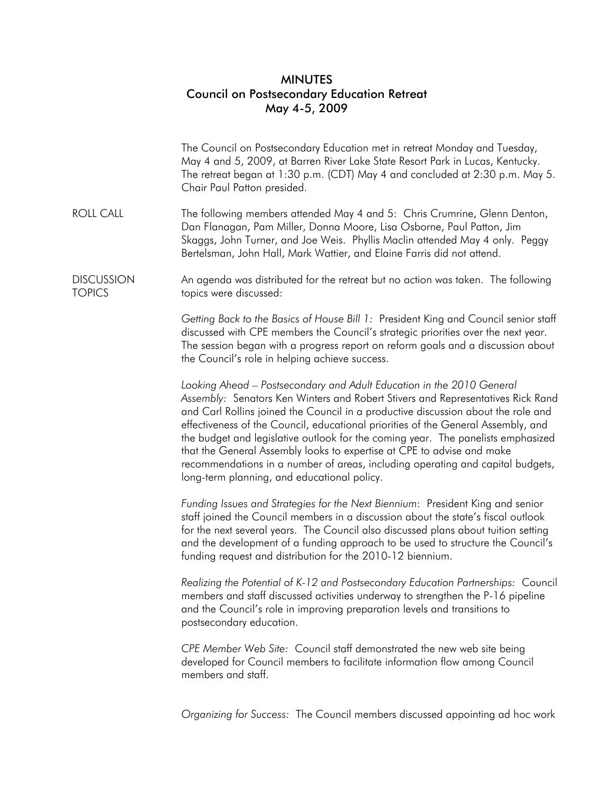## MINUTES Council on Postsecondary Education Retreat May 4-5, 2009

|                                    | The Council on Postsecondary Education met in retreat Monday and Tuesday,<br>May 4 and 5, 2009, at Barren River Lake State Resort Park in Lucas, Kentucky.<br>The retreat began at 1:30 p.m. (CDT) May 4 and concluded at 2:30 p.m. May 5.<br>Chair Paul Patton presided.                                                                                                                                                                                                                                                                                                                                                         |
|------------------------------------|-----------------------------------------------------------------------------------------------------------------------------------------------------------------------------------------------------------------------------------------------------------------------------------------------------------------------------------------------------------------------------------------------------------------------------------------------------------------------------------------------------------------------------------------------------------------------------------------------------------------------------------|
| <b>ROLL CALL</b>                   | The following members attended May 4 and 5: Chris Crumrine, Glenn Denton,<br>Dan Flanagan, Pam Miller, Donna Moore, Lisa Osborne, Paul Patton, Jim<br>Skaggs, John Turner, and Joe Weis. Phyllis Maclin attended May 4 only. Peggy<br>Bertelsman, John Hall, Mark Wattier, and Elaine Farris did not attend.                                                                                                                                                                                                                                                                                                                      |
| <b>DISCUSSION</b><br><b>TOPICS</b> | An agenda was distributed for the retreat but no action was taken. The following<br>topics were discussed:                                                                                                                                                                                                                                                                                                                                                                                                                                                                                                                        |
|                                    | Getting Back to the Basics of House Bill 1: President King and Council senior staff<br>discussed with CPE members the Council's strategic priorities over the next year.<br>The session began with a progress report on reform goals and a discussion about<br>the Council's role in helping achieve success.                                                                                                                                                                                                                                                                                                                     |
|                                    | Looking Ahead - Postsecondary and Adult Education in the 2010 General<br>Assembly: Senators Ken Winters and Robert Stivers and Representatives Rick Rand<br>and Carl Rollins joined the Council in a productive discussion about the role and<br>effectiveness of the Council, educational priorities of the General Assembly, and<br>the budget and legislative outlook for the coming year. The panelists emphasized<br>that the General Assembly looks to expertise at CPE to advise and make<br>recommendations in a number of areas, including operating and capital budgets,<br>long-term planning, and educational policy. |
|                                    | Funding Issues and Strategies for the Next Biennium: President King and senior<br>staff joined the Council members in a discussion about the state's fiscal outlook<br>for the next several years. The Council also discussed plans about tuition setting<br>and the development of a funding approach to be used to structure the Council's<br>funding request and distribution for the 2010-12 biennium.                                                                                                                                                                                                                        |
|                                    | Realizing the Potential of K-12 and Postsecondary Education Partnerships: Council<br>members and staff discussed activities underway to strengthen the P-16 pipeline<br>and the Council's role in improving preparation levels and transitions to<br>postsecondary education.                                                                                                                                                                                                                                                                                                                                                     |
|                                    | CPE Member Web Site: Council staff demonstrated the new web site being<br>developed for Council members to facilitate information flow among Council<br>members and staff.                                                                                                                                                                                                                                                                                                                                                                                                                                                        |
|                                    | Organizing for Success: The Council members discussed appointing ad hoc work                                                                                                                                                                                                                                                                                                                                                                                                                                                                                                                                                      |